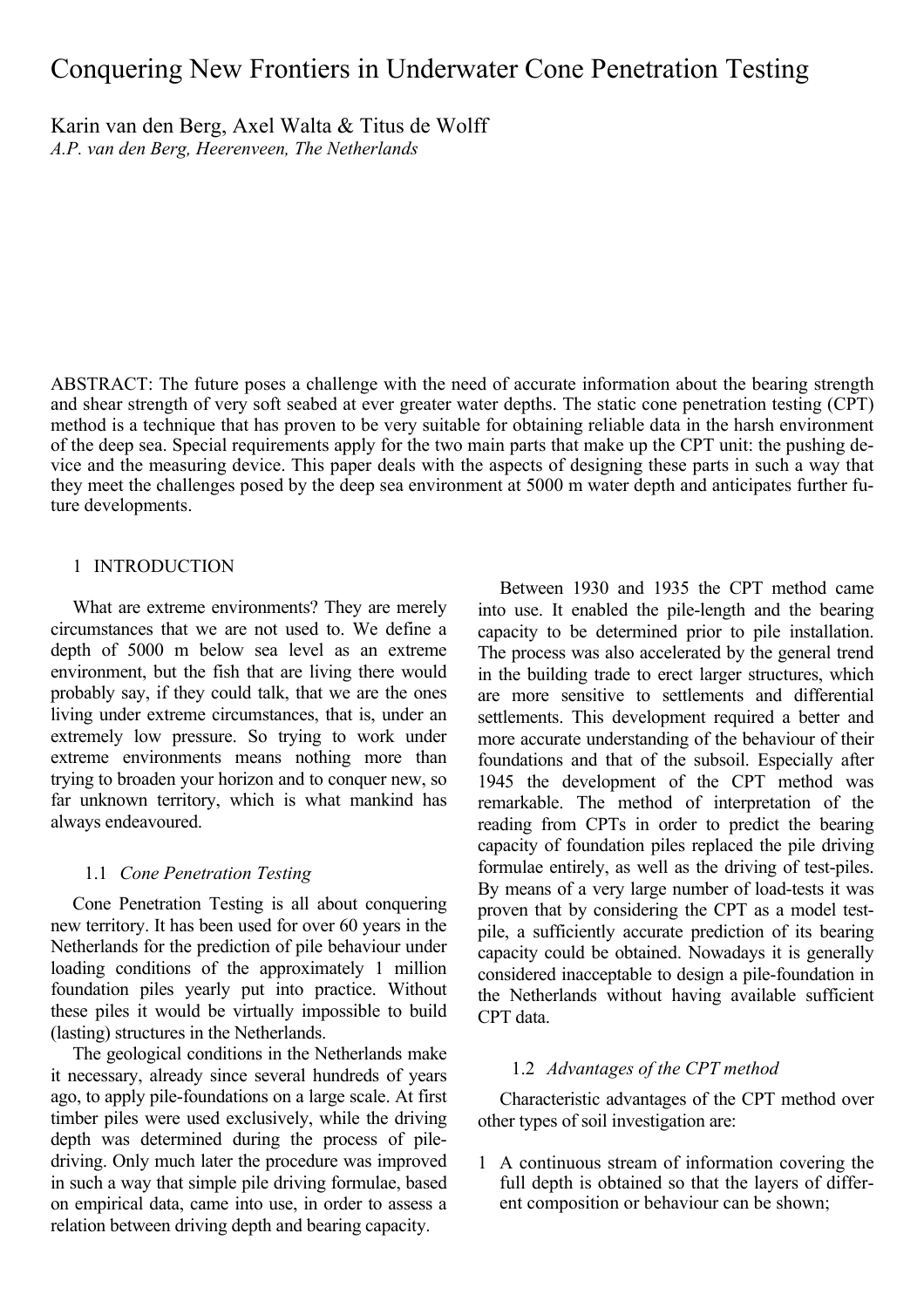# Conquering New Frontiers in Underwater Cone Penetration Testing

Karin van den Berg, Axel Walta & Titus de Wolff *A.P. van den Berg, Heerenveen, The Netherlands* 

ABSTRACT: The future poses a challenge with the need of accurate information about the bearing strength and shear strength of very soft seabed at ever greater water depths. The static cone penetration testing (CPT) method is a technique that has proven to be very suitable for obtaining reliable data in the harsh environment of the deep sea. Special requirements apply for the two main parts that make up the CPT unit: the pushing device and the measuring device. This paper deals with the aspects of designing these parts in such a way that they meet the challenges posed by the deep sea environment at 5000 m water depth and anticipates further future developments.

# 1 INTRODUCTION

What are extreme environments? They are merely circumstances that we are not used to. We define a depth of 5000 m below sea level as an extreme environment, but the fish that are living there would probably say, if they could talk, that we are the ones living under extreme circumstances, that is, under an extremely low pressure. So trying to work under extreme environments means nothing more than trying to broaden your horizon and to conquer new, so far unknown territory, which is what mankind has always endeavoured.

### 1.1 *Cone Penetration Testing*

Cone Penetration Testing is all about conquering new territory. It has been used for over 60 years in the Netherlands for the prediction of pile behaviour under loading conditions of the approximately 1 million foundation piles yearly put into practice. Without these piles it would be virtually impossible to build (lasting) structures in the Netherlands.

The geological conditions in the Netherlands make it necessary, already since several hundreds of years ago, to apply pile-foundations on a large scale. At first timber piles were used exclusively, while the driving depth was determined during the process of piledriving. Only much later the procedure was improved in such a way that simple pile driving formulae, based on empirical data, came into use, in order to assess a relation between driving depth and bearing capacity.

Between 1930 and 1935 the CPT method came into use. It enabled the pile-length and the bearing capacity to be determined prior to pile installation. The process was also accelerated by the general trend in the building trade to erect larger structures, which are more sensitive to settlements and differential settlements. This development required a better and more accurate understanding of the behaviour of their foundations and that of the subsoil. Especially after 1945 the development of the CPT method was remarkable. The method of interpretation of the reading from CPTs in order to predict the bearing capacity of foundation piles replaced the pile driving formulae entirely, as well as the driving of test-piles. By means of a very large number of load-tests it was proven that by considering the CPT as a model testpile, a sufficiently accurate prediction of its bearing capacity could be obtained. Nowadays it is generally considered inacceptable to design a pile-foundation in the Netherlands without having available sufficient CPT data.

# 1.2 *Advantages of the CPT method*

Characteristic advantages of the CPT method over other types of soil investigation are:

1 A continuous stream of information covering the full depth is obtained so that the layers of different composition or behaviour can be shown;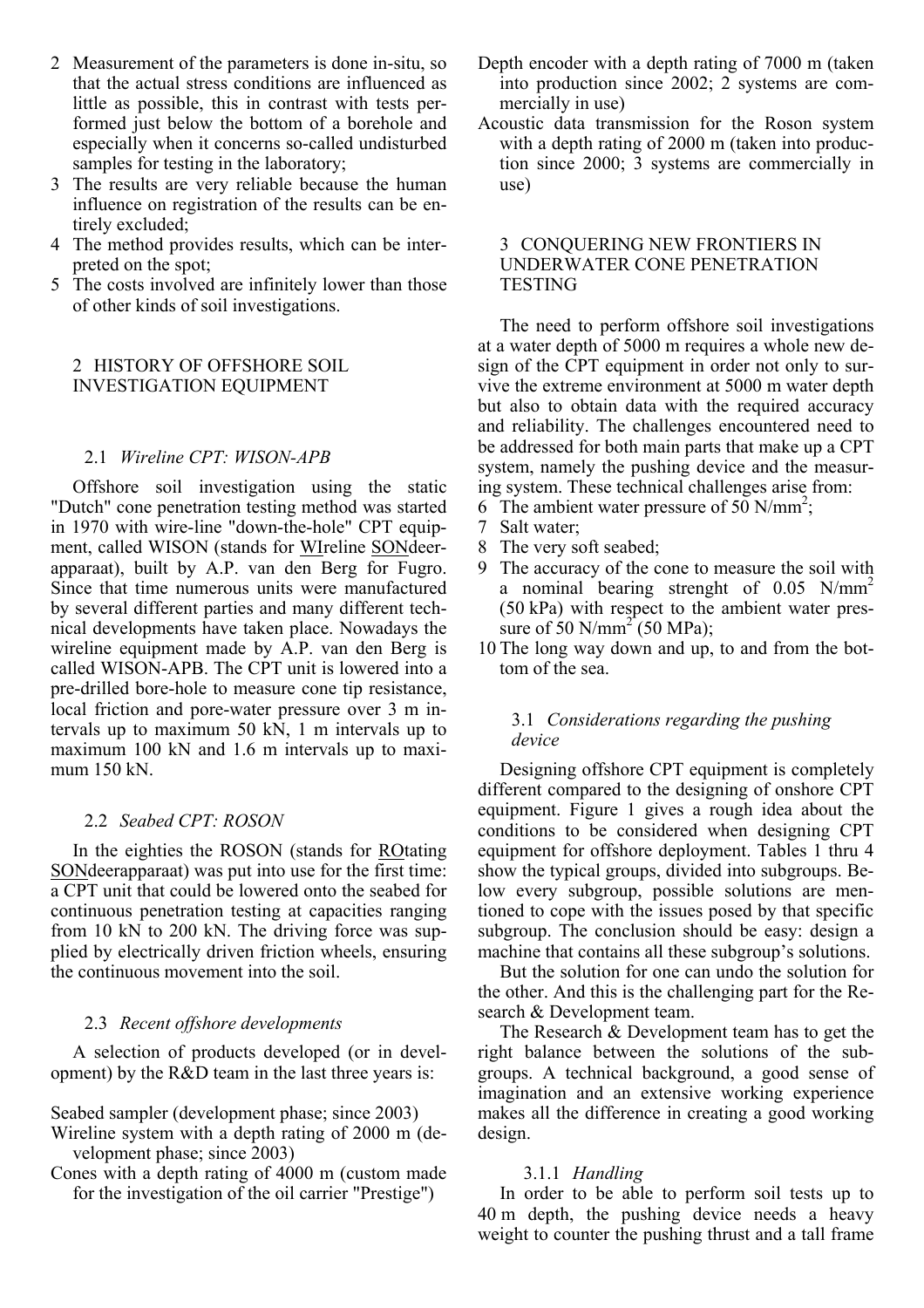- 2 Measurement of the parameters is done in-situ, so that the actual stress conditions are influenced as little as possible, this in contrast with tests performed just below the bottom of a borehole and especially when it concerns so-called undisturbed samples for testing in the laboratory;
- 3 The results are very reliable because the human influence on registration of the results can be entirely excluded;
- 4 The method provides results, which can be interpreted on the spot;
- 5 The costs involved are infinitely lower than those of other kinds of soil investigations.

# 2 HISTORY OF OFFSHORE SOIL INVESTIGATION EQUIPMENT

# 2.1 *Wireline CPT: WISON-APB*

Offshore soil investigation using the static "Dutch" cone penetration testing method was started in 1970 with wire-line "down-the-hole" CPT equipment, called WISON (stands for WIreline SONdeerapparaat), built by A.P. van den Berg for Fugro. Since that time numerous units were manufactured by several different parties and many different technical developments have taken place. Nowadays the wireline equipment made by A.P. van den Berg is called WISON-APB. The CPT unit is lowered into a pre-drilled bore-hole to measure cone tip resistance, local friction and pore-water pressure over 3 m intervals up to maximum 50 kN, 1 m intervals up to maximum 100 kN and 1.6 m intervals up to maximum 150 kN.

### 2.2 *Seabed CPT: ROSON*

In the eighties the ROSON (stands for ROtating SONdeerapparaat) was put into use for the first time: a CPT unit that could be lowered onto the seabed for continuous penetration testing at capacities ranging from 10 kN to 200 kN. The driving force was supplied by electrically driven friction wheels, ensuring the continuous movement into the soil.

### 2.3 *Recent offshore developments*

A selection of products developed (or in development) by the R&D team in the last three years is:

- Seabed sampler (development phase; since 2003)
- Wireline system with a depth rating of 2000 m (development phase; since 2003)
- Cones with a depth rating of 4000 m (custom made for the investigation of the oil carrier "Prestige")
- Depth encoder with a depth rating of 7000 m (taken into production since 2002; 2 systems are commercially in use)
- Acoustic data transmission for the Roson system with a depth rating of 2000 m (taken into production since 2000; 3 systems are commercially in use)

## 3 CONQUERING NEW FRONTIERS IN UNDERWATER CONE PENETRATION **TESTING**

The need to perform offshore soil investigations at a water depth of 5000 m requires a whole new design of the CPT equipment in order not only to survive the extreme environment at 5000 m water depth but also to obtain data with the required accuracy and reliability. The challenges encountered need to be addressed for both main parts that make up a CPT system, namely the pushing device and the measuring system. These technical challenges arise from:

- 6 The ambient water pressure of  $50$  N/mm<sup>2</sup>;
- 7 Salt water;
- 8 The very soft seabed;
- 9 The accuracy of the cone to measure the soil with a nominal bearing strenght of  $0.05$  N/mm<sup>2</sup> (50 kPa) with respect to the ambient water pressure of 50 N/mm<sup>2</sup> (50 MPa);
- 10 The long way down and up, to and from the bottom of the sea.

# 3.1 *Considerations regarding the pushing device*

Designing offshore CPT equipment is completely different compared to the designing of onshore CPT equipment. Figure 1 gives a rough idea about the conditions to be considered when designing CPT equipment for offshore deployment. Tables 1 thru 4 show the typical groups, divided into subgroups. Below every subgroup, possible solutions are mentioned to cope with the issues posed by that specific subgroup. The conclusion should be easy: design a machine that contains all these subgroup's solutions.

But the solution for one can undo the solution for the other. And this is the challenging part for the Research & Development team.

The Research & Development team has to get the right balance between the solutions of the subgroups. A technical background, a good sense of imagination and an extensive working experience makes all the difference in creating a good working design.

### 3.1.1 *Handling*

In order to be able to perform soil tests up to 40 m depth, the pushing device needs a heavy weight to counter the pushing thrust and a tall frame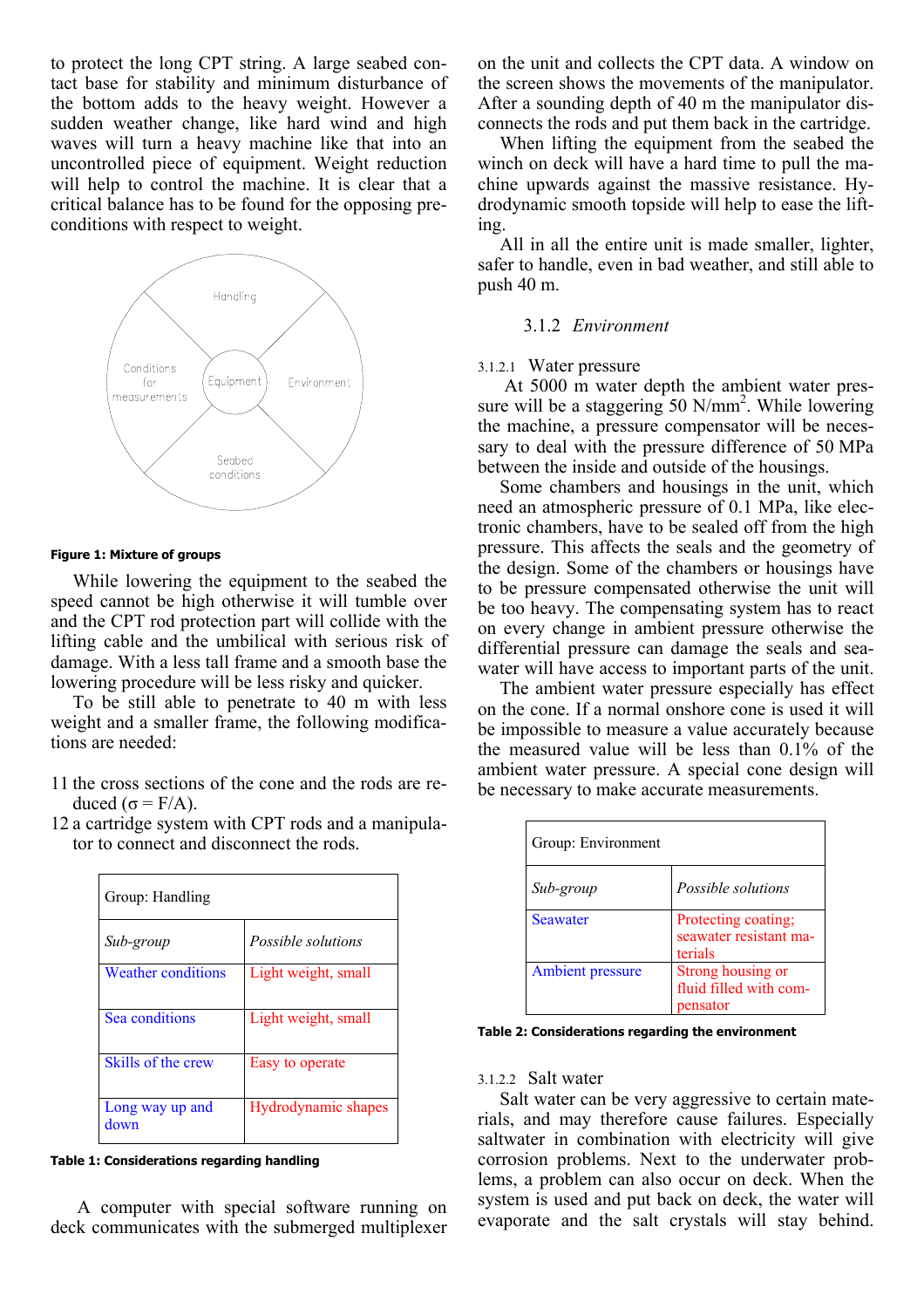to protect the long CPT string. A large seabed contact base for stability and minimum disturbance of the bottom adds to the heavy weight. However a sudden weather change, like hard wind and high waves will turn a heavy machine like that into an uncontrolled piece of equipment. Weight reduction will help to control the machine. It is clear that a critical balance has to be found for the opposing preconditions with respect to weight.



#### **Figure 1: Mixture of groups**

While lowering the equipment to the seabed the speed cannot be high otherwise it will tumble over and the CPT rod protection part will collide with the lifting cable and the umbilical with serious risk of damage. With a less tall frame and a smooth base the lowering procedure will be less risky and quicker.

To be still able to penetrate to 40 m with less weight and a smaller frame, the following modifications are needed:

- 11 the cross sections of the cone and the rods are reduced ( $σ = F/A$ ).
- 12 a cartridge system with CPT rods and a manipulator to connect and disconnect the rods.

| Group: Handling           |                     |  |
|---------------------------|---------------------|--|
| Sub-group                 | Possible solutions  |  |
| <b>Weather conditions</b> | Light weight, small |  |
| Sea conditions            | Light weight, small |  |
| Skills of the crew        | Easy to operate     |  |
| Long way up and<br>down   | Hydrodynamic shapes |  |

**Table 1: Considerations regarding handling** 

 A computer with special software running on deck communicates with the submerged multiplexer on the unit and collects the CPT data. A window on the screen shows the movements of the manipulator. After a sounding depth of 40 m the manipulator disconnects the rods and put them back in the cartridge.

When lifting the equipment from the seabed the winch on deck will have a hard time to pull the machine upwards against the massive resistance. Hydrodynamic smooth topside will help to ease the lifting.

All in all the entire unit is made smaller, lighter, safer to handle, even in bad weather, and still able to push 40 m.

# 3.1.2 *Environment*

# 3.1.2.1 Water pressure

 At 5000 m water depth the ambient water pressure will be a staggering 50  $N/mm^2$ . While lowering the machine, a pressure compensator will be necessary to deal with the pressure difference of 50 MPa between the inside and outside of the housings.

Some chambers and housings in the unit, which need an atmospheric pressure of 0.1 MPa, like electronic chambers, have to be sealed off from the high pressure. This affects the seals and the geometry of the design. Some of the chambers or housings have to be pressure compensated otherwise the unit will be too heavy. The compensating system has to react on every change in ambient pressure otherwise the differential pressure can damage the seals and seawater will have access to important parts of the unit.

The ambient water pressure especially has effect on the cone. If a normal onshore cone is used it will be impossible to measure a value accurately because the measured value will be less than 0.1% of the ambient water pressure. A special cone design will be necessary to make accurate measurements.

| Group: Environment      |                                                          |
|-------------------------|----------------------------------------------------------|
| Sub-group               | Possible solutions                                       |
| <b>Seawater</b>         | Protecting coating;<br>seawater resistant ma-<br>terials |
| <b>Ambient pressure</b> | Strong housing or<br>fluid filled with com-<br>pensator  |

**Table 2: Considerations regarding the environment** 

# 3.1.2.2 Salt water

Salt water can be very aggressive to certain materials, and may therefore cause failures. Especially saltwater in combination with electricity will give corrosion problems. Next to the underwater problems, a problem can also occur on deck. When the system is used and put back on deck, the water will evaporate and the salt crystals will stay behind.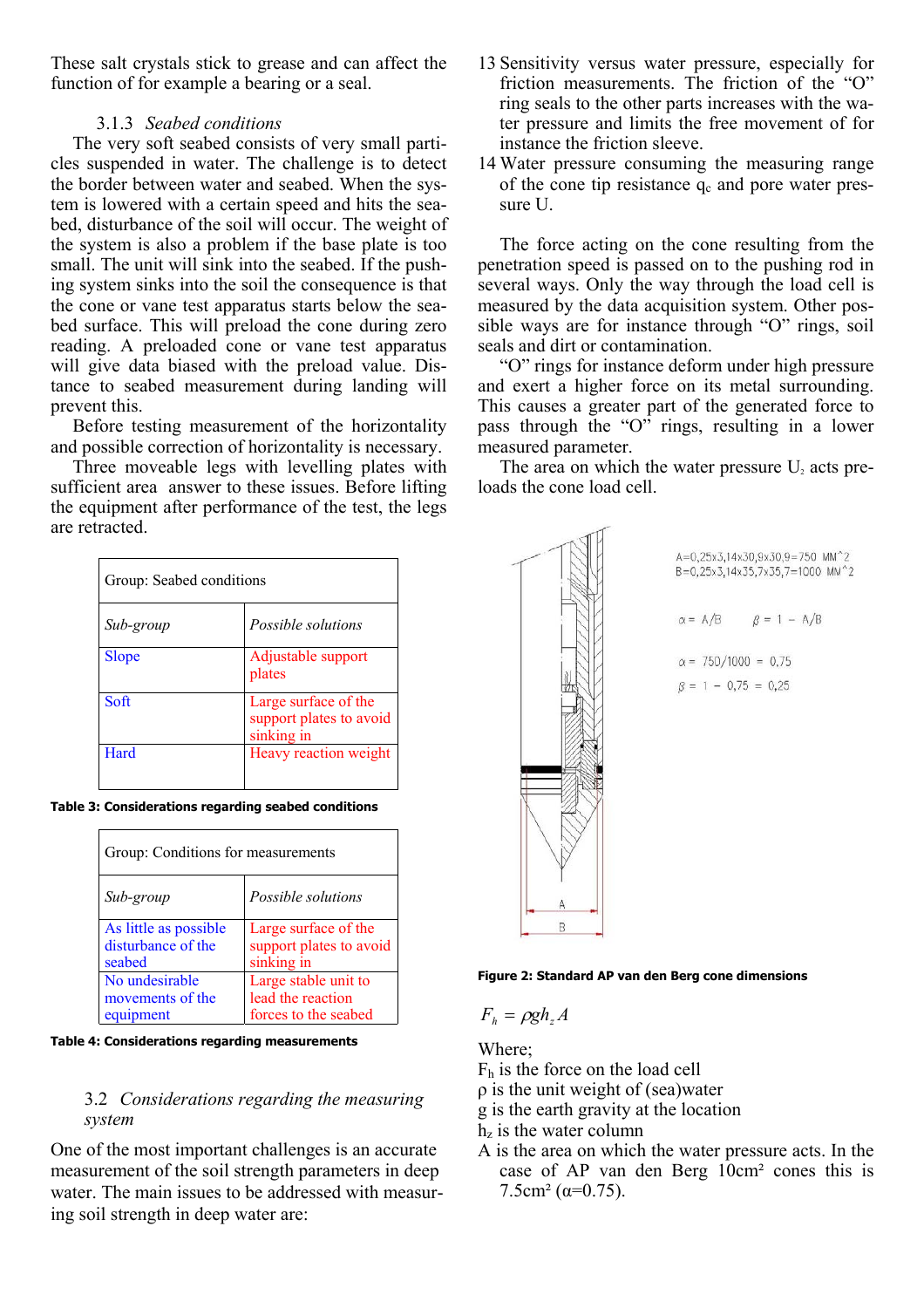These salt crystals stick to grease and can affect the function of for example a bearing or a seal.

# 3.1.3 *Seabed conditions*

The very soft seabed consists of very small particles suspended in water. The challenge is to detect the border between water and seabed. When the system is lowered with a certain speed and hits the seabed, disturbance of the soil will occur. The weight of the system is also a problem if the base plate is too small. The unit will sink into the seabed. If the pushing system sinks into the soil the consequence is that the cone or vane test apparatus starts below the seabed surface. This will preload the cone during zero reading. A preloaded cone or vane test apparatus will give data biased with the preload value. Distance to seabed measurement during landing will prevent this.

Before testing measurement of the horizontality and possible correction of horizontality is necessary.

Three moveable legs with levelling plates with sufficient area answer to these issues. Before lifting the equipment after performance of the test, the legs are retracted.

| Group: Seabed conditions |                                                               |  |
|--------------------------|---------------------------------------------------------------|--|
| Sub-group                | Possible solutions                                            |  |
| <b>Slope</b>             | Adjustable support<br>plates                                  |  |
| Soft                     | Large surface of the<br>support plates to avoid<br>sinking in |  |
| Hard                     | Heavy reaction weight                                         |  |

**Table 3: Considerations regarding seabed conditions** 

| Group: Conditions for measurements |                         |  |
|------------------------------------|-------------------------|--|
| Sub-group                          | Possible solutions      |  |
| As little as possible              | Large surface of the    |  |
| disturbance of the                 | support plates to avoid |  |
| seabed                             | sinking in              |  |
| No undesirable                     | Large stable unit to    |  |
| movements of the                   | lead the reaction       |  |
| equipment                          | forces to the seabed    |  |

**Table 4: Considerations regarding measurements** 

# 3.2 *Considerations regarding the measuring system*

One of the most important challenges is an accurate measurement of the soil strength parameters in deep water. The main issues to be addressed with measuring soil strength in deep water are:

- 13 Sensitivity versus water pressure, especially for friction measurements. The friction of the "O" ring seals to the other parts increases with the water pressure and limits the free movement of for instance the friction sleeve.
- 14 Water pressure consuming the measuring range of the cone tip resistance  $q_c$  and pore water pressure U.

The force acting on the cone resulting from the penetration speed is passed on to the pushing rod in several ways. Only the way through the load cell is measured by the data acquisition system. Other possible ways are for instance through "O" rings, soil seals and dirt or contamination.

"O" rings for instance deform under high pressure and exert a higher force on its metal surrounding. This causes a greater part of the generated force to pass through the "O" rings, resulting in a lower measured parameter.

The area on which the water pressure  $U_2$  acts preloads the cone load cell.



A=0,25x3,14x30,9x30,9=750 MM^2 B=0.25x3.14x35.7x35.7=1000 MM^2  $\alpha = A/B$  $\beta = 1 - A/B$ 

 $\alpha = 750/1000 = 0.75$ 

 $\beta = 1 - 0.75 = 0.25$ 

**Figure 2: Standard AP van den Berg cone dimensions** 

$$
F_h = \rho g h_z A
$$

Where;

- Fh is the force on the load cell
- ρ is the unit weight of (sea)water
- g is the earth gravity at the location
- $h<sub>z</sub>$  is the water column
- A is the area on which the water pressure acts. In the case of AP van den Berg 10cm² cones this is  $7.5cm<sup>2</sup>$  ( $\alpha=0.75$ ).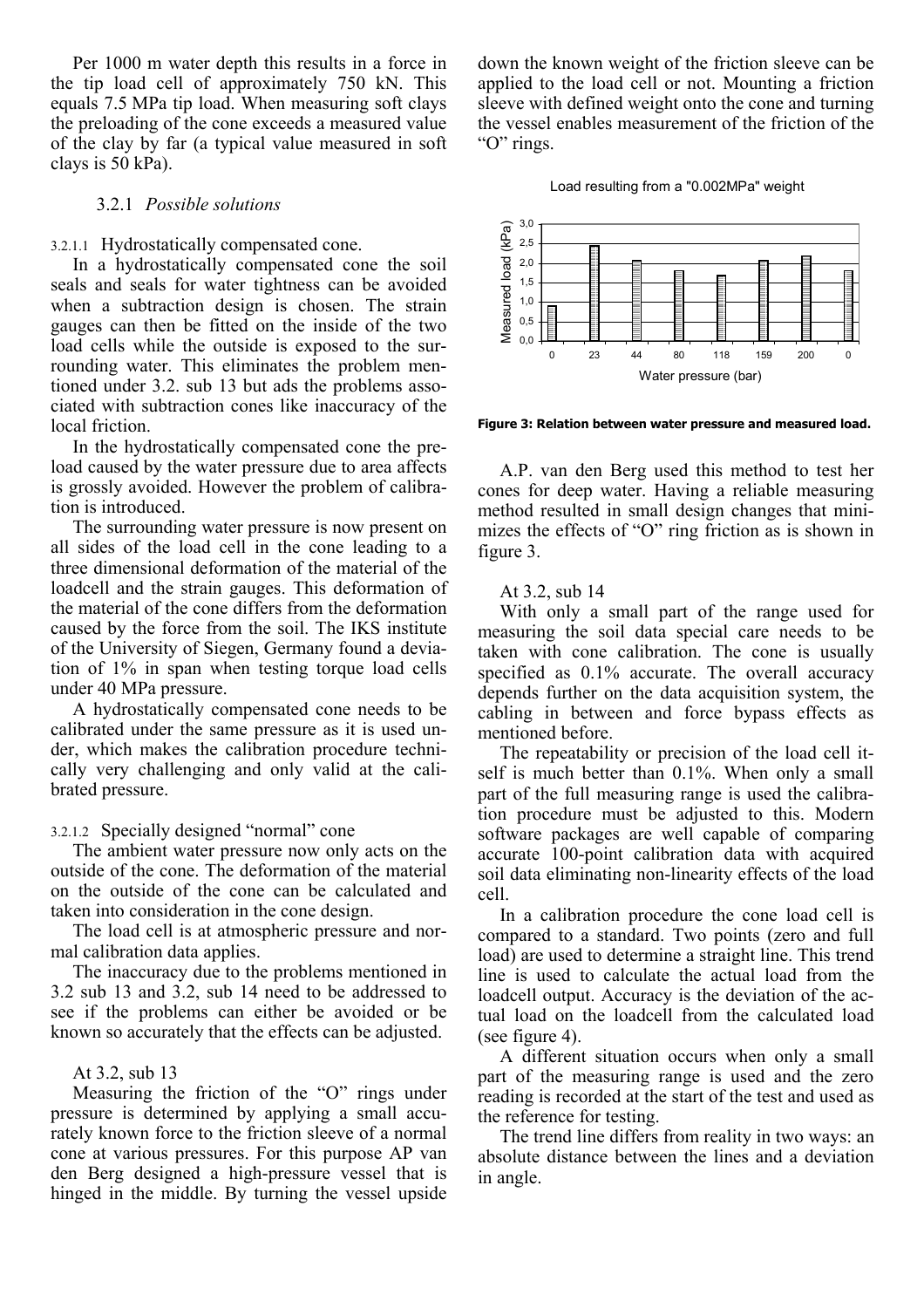Per 1000 m water depth this results in a force in the tip load cell of approximately 750 kN. This equals 7.5 MPa tip load. When measuring soft clays the preloading of the cone exceeds a measured value of the clay by far (a typical value measured in soft clays is 50 kPa).

### 3.2.1 *Possible solutions*

### 3.2.1.1 Hydrostatically compensated cone.

In a hydrostatically compensated cone the soil seals and seals for water tightness can be avoided when a subtraction design is chosen. The strain gauges can then be fitted on the inside of the two load cells while the outside is exposed to the surrounding water. This eliminates the problem mentioned under 3.2. sub 13 but ads the problems associated with subtraction cones like inaccuracy of the local friction.

In the hydrostatically compensated cone the preload caused by the water pressure due to area affects is grossly avoided. However the problem of calibration is introduced.

The surrounding water pressure is now present on all sides of the load cell in the cone leading to a three dimensional deformation of the material of the loadcell and the strain gauges. This deformation of the material of the cone differs from the deformation caused by the force from the soil. The IKS institute of the University of Siegen, Germany found a deviation of 1% in span when testing torque load cells under 40 MPa pressure.

A hydrostatically compensated cone needs to be calibrated under the same pressure as it is used under, which makes the calibration procedure technically very challenging and only valid at the calibrated pressure.

# 3.2.1.2 Specially designed "normal" cone

The ambient water pressure now only acts on the outside of the cone. The deformation of the material on the outside of the cone can be calculated and taken into consideration in the cone design.

The load cell is at atmospheric pressure and normal calibration data applies.

The inaccuracy due to the problems mentioned in 3.2 sub 13 and 3.2, sub 14 need to be addressed to see if the problems can either be avoided or be known so accurately that the effects can be adjusted.

# At 3.2, sub 13

Measuring the friction of the "O" rings under pressure is determined by applying a small accurately known force to the friction sleeve of a normal cone at various pressures. For this purpose AP van den Berg designed a high-pressure vessel that is hinged in the middle. By turning the vessel upside

down the known weight of the friction sleeve can be applied to the load cell or not. Mounting a friction sleeve with defined weight onto the cone and turning the vessel enables measurement of the friction of the "O" rings.

#### Load resulting from a "0.002MPa" weight



**Figure 3: Relation between water pressure and measured load.** 

A.P. van den Berg used this method to test her cones for deep water. Having a reliable measuring method resulted in small design changes that minimizes the effects of "O" ring friction as is shown in figure 3.

### At 3.2, sub 14

With only a small part of the range used for measuring the soil data special care needs to be taken with cone calibration. The cone is usually specified as 0.1% accurate. The overall accuracy depends further on the data acquisition system, the cabling in between and force bypass effects as mentioned before.

The repeatability or precision of the load cell itself is much better than 0.1%. When only a small part of the full measuring range is used the calibration procedure must be adjusted to this. Modern software packages are well capable of comparing accurate 100-point calibration data with acquired soil data eliminating non-linearity effects of the load cell.

In a calibration procedure the cone load cell is compared to a standard. Two points (zero and full load) are used to determine a straight line. This trend line is used to calculate the actual load from the loadcell output. Accuracy is the deviation of the actual load on the loadcell from the calculated load (see figure 4).

A different situation occurs when only a small part of the measuring range is used and the zero reading is recorded at the start of the test and used as the reference for testing.

The trend line differs from reality in two ways: an absolute distance between the lines and a deviation in angle.